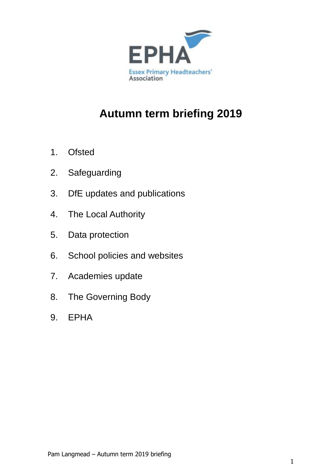

# **Autumn term briefing 2019**

- 1. Ofsted
- 2. Safeguarding
- 3. DfE updates and publications
- 4. The Local Authority
- 5. Data protection
- 6. School policies and websites
- 7. Academies update
- 8. The Governing Body
- 9. EPHA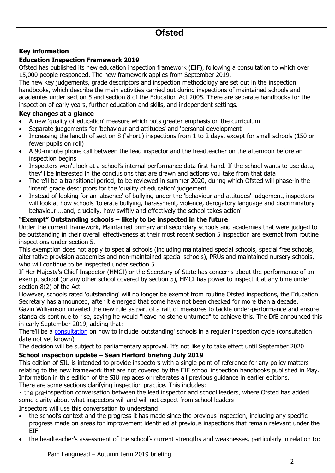### **Key information**

#### **Education Inspection Framework 2019**

Ofsted has published its new education inspection framework (EIF), following a consultation to which over 15,000 people responded. The new framework applies from September 2019.

The new key judgements, grade descriptors and inspection methodology are set out in the inspection handbooks, which describe the main activities carried out during inspections of maintained schools and academies under section 5 and section 8 of the Education Act 2005. There are separate handbooks for the inspection of early years, further education and skills, and independent settings.

#### **Key changes at a glance**

- A new 'quality of education' measure which puts greater emphasis on the curriculum
- Separate judgements for 'behaviour and attitudes' and 'personal development'
- Increasing the length of section 8 ('short') inspections from 1 to 2 days, except for small schools (150 or fewer pupils on roll)
- A 90-minute phone call between the lead inspector and the headteacher on the afternoon before an inspection begins
- Inspectors won't look at a school's internal performance data first-hand. If the school wants to use data, they'll be interested in the conclusions that are drawn and actions you take from that data
- There'll be a transitional period, to be reviewed in summer 2020, during which Ofsted will phase-in the 'intent' grade descriptors for the 'quality of education' judgement
- Instead of looking for an 'absence' of bullying under the 'behaviour and attitudes' judgement, inspectors will look at how schools 'tolerate bullying, harassment, violence, derogatory language and discriminatory behaviour ...and, crucially, how swiftly and effectively the school takes action'

#### **"Exempt" Outstanding schools – likely to be inspected in the future**

Under the current framework, Maintained primary and secondary schools and academies that were judged to be outstanding in their overall effectiveness at their most recent section 5 inspection are exempt from routine inspections under section 5.

This exemption does not apply to special schools (including maintained special schools, special free schools, alternative provision academies and non-maintained special schools), PRUs and maintained nursery schools, who will continue to be inspected under section 5.

If Her Majesty's Chief Inspector (HMCI) or the Secretary of State has concerns about the performance of an exempt school (or any other school covered by section 5), HMCI has power to inspect it at any time under section 8(2) of the Act.

However, schools rated 'outstanding' will no longer be exempt from routine Ofsted inspections, the Education Secretary has announced, after it emerged that some have not been checked for more than a decade.

Gavin Williamson unveiled the new rule as part of a raft of measures to tackle under-performance and ensure standards continue to rise, saying he would "leave no stone unturned" to achieve this. The DfE announced this in early September 2019, adding that:

There'll be a [consultation](https://www.gov.uk/government/news/new-drive-to-continue-boosting-standards-in-schools) on how to include 'outstanding' schools in a regular inspection cycle (consultation date not yet known)

The decision will be subject to parliamentary approval. It's not likely to take effect until September 2020

#### **School inspection update – Sean Harford briefing July 2019**

This edition of SIU is intended to provide inspectors with a single point of reference for any policy matters relating to the new framework that are not covered by the EIF school inspection handbooks published in May. Information in this edition of the SIU replaces or reiterates all previous guidance in earlier editions. There are some sections clarifying inspection practice. This includes:

-inspection conversation between the lead inspector and school leaders, where Ofsted has added some clarity about what inspectors will and will not expect from school leaders

Inspectors will use this conversation to understand:

- the school's context and the progress it has made since the previous inspection, including any specific progress made on areas for improvement identified at previous inspections that remain relevant under the EIF
- the headteacher's assessment of the school's current strengths and weaknesses, particularly in relation to: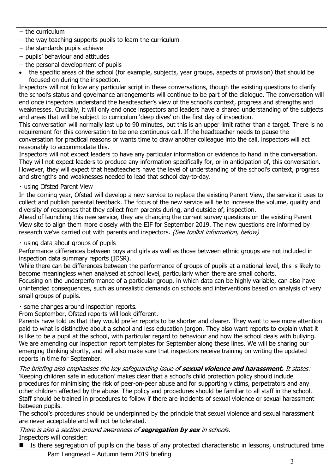- − the curriculum
- − the way teaching supports pupils to learn the curriculum
- − the standards pupils achieve
- − pupils' behaviour and attitudes
- − the personal development of pupils
- the specific areas of the school (for example, subjects, year groups, aspects of provision) that should be focused on during the inspection.

Inspectors will not follow any particular script in these conversations, though the existing questions to clarify the school's status and governance arrangements will continue to be part of the dialogue. The conversation will end once inspectors understand the headteacher's view of the school's context, progress and strengths and weaknesses. Crucially, it will only end once inspectors and leaders have a shared understanding of the subjects and areas that will be subject to curriculum 'deep dives' on the first day of inspection.

This conversation will normally last up to 90 minutes, but this is an upper limit rather than a target. There is no requirement for this conversation to be one continuous call. If the headteacher needs to pause the conversation for practical reasons or wants time to draw another colleague into the call, inspectors will act reasonably to accommodate this.

Inspectors will not expect leaders to have any particular information or evidence to hand in the conversation. They will not expect leaders to produce any information specifically for, or in anticipation of, this conversation. However, they will expect that headteachers have the level of understanding of the school's context, progress and strengths and weaknesses needed to lead that school day-to-day.

· using Ofsted Parent View

In the coming year, Ofsted will develop a new service to replace the existing Parent View, the service it uses to collect and publish parental feedback. The focus of the new service will be to increase the volume, quality and diversity of responses that they collect from parents during, and outside of, inspection.

Ahead of launching this new service, they are changing the current survey questions on the existing Parent View site to align them more closely with the EIF for September 2019. The new questions are informed by research we've carried out with parents and inspectors. (See toolkit information, below)

· using data about groups of pupils

Performance differences between boys and girls as well as those between ethnic groups are not included in inspection data summary reports (IDSR).

While there can be differences between the performance of groups of pupils at a national level, this is likely to become meaningless when analysed at school level, particularly when there are small cohorts.

Focusing on the underperformance of a particular group, in which data can be highly variable, can also have unintended consequences, such as unrealistic demands on schools and interventions based on analysis of very small groups of pupils.

· some changes around inspection reports.

From September, Ofsted reports will look different.

Parents have told us that they would prefer reports to be shorter and clearer. They want to see more attention paid to what is distinctive about a school and less education jargon. They also want reports to explain what it is like to be a pupil at the school, with particular regard to behaviour and how the school deals with bullying. We are amending our inspection report templates for September along these lines. We will be sharing our emerging thinking shortly, and will also make sure that inspectors receive training on writing the updated reports in time for September.

The briefing also emphasises the key safeguarding issue of **sexual violence and harassment.** It states: 'Keeping children safe in education' makes clear that a school's child protection policy should include procedures for minimising the risk of peer-on-peer abuse and for supporting victims, perpetrators and any other children affected by the abuse. The policy and procedures should be familiar to all staff in the school. Staff should be trained in procedures to follow if there are incidents of sexual violence or sexual harassment between pupils.

The school's procedures should be underpinned by the principle that sexual violence and sexual harassment are never acceptable and will not be tolerated.

There is also a section around awareness of **segregation by sex** in schools. Inspectors will consider:

Pam Langmead – Autumn term 2019 briefing ■ Is there segregation of pupils on the basis of any protected characteristic in lessons, unstructured time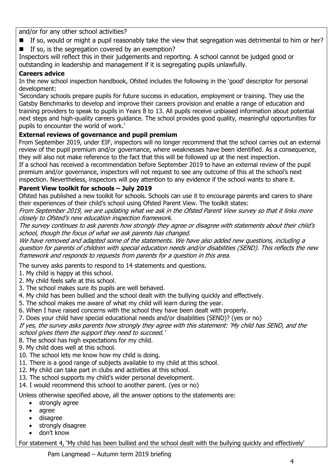and/or for any other school activities?

- If so, would or might a pupil reasonably take the view that segregation was detrimental to him or her?
- $\blacksquare$  If so, is the segregation covered by an exemption?

Inspectors will reflect this in their judgements and reporting. A school cannot be judged good or outstanding in leadership and management if it is segregating pupils unlawfully.

## **Careers advice**

In the new school inspection handbook, Ofsted includes the following in the 'good' descriptor for personal development:

'Secondary schools prepare pupils for future success in education, employment or training. They use the Gatsby Benchmarks to develop and improve their careers provision and enable a range of education and training providers to speak to pupils in Years 8 to 13. All pupils receive unbiased information about potential next steps and high-quality careers guidance. The school provides good quality, meaningful opportunities for pupils to encounter the world of work.'

## **External reviews of governance and pupil premium**

From September 2019, under EIF, inspectors will no longer recommend that the school carries out an external review of the pupil premium and/or governance, where weaknesses have been identified. As a consequence, they will also not make reference to the fact that this will be followed up at the next inspection.

If a school has received a recommendation before September 2019 to have an external review of the pupil premium and/or governance, inspectors will not request to see any outcome of this at the school's next inspection. Nevertheless, inspectors will pay attention to any evidence if the school wants to share it.

## **Parent View toolkit for schools – July 2019**

Ofsted has published a new toolkit for schools. Schools can use it to encourage parents and carers to share their experiences of their child's school using Ofsted Parent View. The toolkit states:

From September 2019, we are updating what we ask in the Ofsted Parent View survey so that it links more closely to Ofsted's new education inspection framework.

The survey continues to ask parents how strongly they agree or disagree with statements about their child's school, though the focus of what we ask parents has changed.

We have removed and adapted some of the statements. We have also added new questions, including a question for parents of children with special education needs and/or disabilities (SEND). This reflects the new framework and responds to requests from parents for a question in this area.

The survey asks parents to respond to 14 statements and questions.

1. My child is happy at this school.

- 2. My child feels safe at this school.
- 3. The school makes sure its pupils are well behaved.
- 4. My child has been bullied and the school dealt with the bullying quickly and effectively.
- 5. The school makes me aware of what my child will learn during the year.
- 6. When I have raised concerns with the school they have been dealt with properly.
- 7. Does your child have special educational needs and/or disabilities (SEND)? (yes or no)

If yes, the survey asks parents how strongly they agree with this statement: 'My child has SEND, and the school gives them the support they need to succeed.'

8. The school has high expectations for my child.

- 9. My child does well at this school.
- 10. The school lets me know how my child is doing.
- 11. There is a good range of subjects available to my child at this school.
- 12. My child can take part in clubs and activities at this school.
- 13. The school supports my child's wider personal development.
- 14. I would recommend this school to another parent. (yes or no)

Unless otherwise specified above, all the answer options to the statements are:

- strongly agree
- agree
- disagree
- strongly disagree
- don't know

For statement 4, 'My child has been bullied and the school dealt with the bullying quickly and effectively'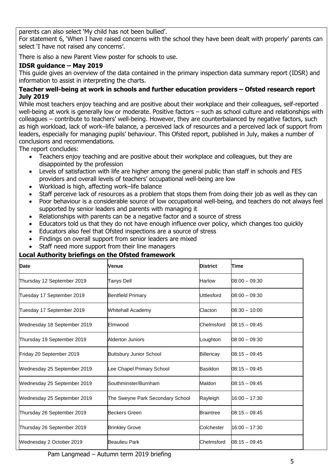parents can also select 'My child has not been bullied'.

For statement 6, 'When I have raised concerns with the school they have been dealt with properly' parents can select 'I have not raised any concerns'.

There is also a new Parent View poster for schools to use.

## **IDSR guidance – May 2019**

This guide gives an overview of the data contained in the primary inspection data summary report (IDSR) and information to assist in interpreting the charts.

#### **Teacher well-being at work in schools and further education providers – Ofsted research report July 2019**

While most teachers enjoy teaching and are positive about their workplace and their colleagues, self-reported well-being at work is generally low or moderate. Positive factors – such as school culture and relationships with colleagues – contribute to teachers' well-being. However, they are counterbalanced by negative factors, such as high workload, lack of work–life balance, a perceived lack of resources and a perceived lack of support from leaders, especially for managing pupils' behaviour. This Ofsted report, published in July, makes a number of conclusions and recommendations.

The report concludes:

- Teachers enjoy teaching and are positive about their workplace and colleagues, but they are disappointed by the profession
- Levels of satisfaction with life are higher among the general public than staff in schools and FES providers and overall levels of teachers' occupational well-being are low
- Workload is high, affecting work–life balance
- Staff perceive lack of resources as a problem that stops them from doing their job as well as they can
- Poor behaviour is a considerable source of low occupational well-being, and teachers do not always feel supported by senior leaders and parents with managing it
- Relationships with parents can be a negative factor and a source of stress
- Educators told us that they do not have enough influence over policy, which changes too quickly
- Educators also feel that Ofsted inspections are a source of stress
- Findings on overall support from senior leaders are mixed
- Staff need more support from their line managers

#### **Local Authority briefings on the Ofsted framework**

| Date                        | Venue                            | <b>District</b>  | Time            |
|-----------------------------|----------------------------------|------------------|-----------------|
| Thursday 12 September 2019  | <b>Tanys Dell</b>                | <b>Harlow</b>    | $08:00 - 09:30$ |
| Tuesday 17 September 2019   | <b>Bentfield Primary</b>         | Uttlesford       | $08:00 - 09:30$ |
| Tuesday 17 September 2019   | <b>Whitehall Academy</b>         | Clacton          | $08:30 - 10:00$ |
| Wednesday 18 September 2019 | Elmwood                          | Chelmsford       | $08:15 - 09:45$ |
| Thursday 19 September 2019  | <b>Alderton Juniors</b>          | Loughton         | $08:00 - 09:30$ |
| Friday 20 September 2019    | <b>Buttsbury Junior School</b>   | Billericay       | $08:15 - 09:45$ |
| Wednesday 25 September 2019 | ee Chapel Primary School         | <b>Basildon</b>  | $08:15 - 09:45$ |
| Wednesday 25 September 2019 | Southminster/Burnham             | Maldon           | $08:15 - 09:45$ |
| Wednesday 25 September 2019 | The Sweyne Park Secondary School | Rayleigh         | $16:00 - 17:30$ |
| Thursday 26 September 2019  | <b>Beckers Green</b>             | <b>Braintree</b> | $08:15 - 09:45$ |
| Thursday 26 September 2019  | <b>Brinkley Grove</b>            | Colchester       | $16:00 - 17:30$ |
| Wednesday 2 October 2019    | <b>Beaulieu Park</b>             | Chelmsford       | $08:15 - 09:45$ |

Pam Langmead – Autumn term 2019 briefing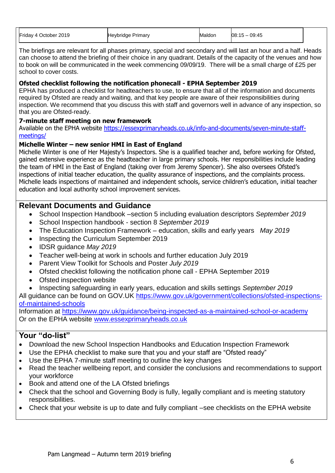| Friday 4 October 2019 | <b>Heybridge Primary</b> | Maldon | 09:45<br>08:15<br>ົ <u>່</u> |  |
|-----------------------|--------------------------|--------|------------------------------|--|
|-----------------------|--------------------------|--------|------------------------------|--|

The briefings are relevant for all phases primary, special and secondary and will last an hour and a half. Heads can choose to attend the briefing of their choice in any quadrant. Details of the capacity of the venues and how to book on will be communicated in the week commencing 09/09/19. There will be a small charge of £25 per school to cover costs.

## **Ofsted checklist following the notification phonecall - EPHA September 2019**

EPHA has produced a checklist for headteachers to use, to ensure that all of the information and documents required by Ofsted are ready and waiting, and that key people are aware of their responsibilities during inspection. We recommend that you discuss this with staff and governors well in advance of any inspection, so that you are Ofsted-ready.

### **7-minute staff meeting on new framework**

Available on the EPHA website [https://essexprimaryheads.co.uk/info-and-documents/seven-minute-staff](https://essexprimaryheads.co.uk/info-and-documents/seven-minute-staff-meetings/)[meetings/](https://essexprimaryheads.co.uk/info-and-documents/seven-minute-staff-meetings/)

#### **Michelle Winter – new senior HMI in East of England**

Michelle Winter is one of Her Majesty's Inspectors. She is a qualified teacher and, before working for Ofsted, gained extensive experience as the headteacher in large primary schools. Her responsibilities include leading the team of HMI in the East of England (taking over from Jeremy Spencer). She also oversees Ofsted's inspections of initial teacher education, the quality assurance of inspections, and the complaints process. Michelle leads inspections of maintained and independent schools, service children's education, initial teacher education and local authority school improvement services.

## **Relevant Documents and Guidance**

- School Inspection Handbook –section 5 including evaluation descriptors *September 2019*
- School Inspection handbook section 8 *September 2019*
- The Education Inspection Framework education, skills and early years *May 2019*
- Inspecting the Curriculum September 2019
- IDSR guidance *May 2019*
- Teacher well-being at work in schools and further education July 2019
- Parent View Toolkit for Schools and Poster *July 2019*
- Ofsted checklist following the notification phone call EPHA September 2019
- Ofsted inspection website
- Inspecting safeguarding in early years, education and skills settings *September 2019*

All guidance can be found on GOV.UK [https://www.gov.uk/government/collections/ofsted-inspections](https://www.gov.uk/government/collections/ofsted-inspections-of-maintained-schools)[of-maintained-schools](https://www.gov.uk/government/collections/ofsted-inspections-of-maintained-schools)

Information at<https://www.gov.uk/guidance/being-inspected-as-a-maintained-school-or-academy> Or on the EPHA website [www.essexprimaryheads.co.uk](http://www.essexprimaryheads.co.uk/)

- Download the new School Inspection Handbooks and Education Inspection Framework
- Use the EPHA checklist to make sure that you and your staff are "Ofsted ready"
- Use the EPHA 7-minute staff meeting to outline the key changes
- Read the teacher wellbeing report, and consider the conclusions and recommendations to support your workforce
- Book and attend one of the LA Ofsted briefings
- Check that the school and Governing Body is fully, legally compliant and is meeting statutory responsibilities.
- Check that your website is up to date and fully compliant –see checklists on the EPHA website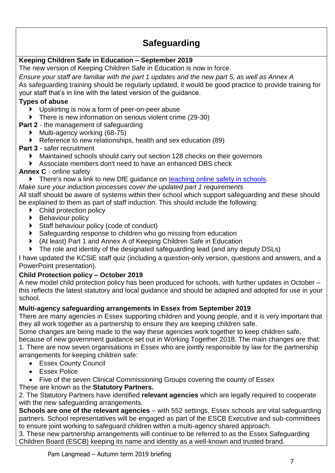## **Safeguarding**

## **Keeping Children Safe in Education – September 2019**

The new version of Keeping Children Safe in Education is now in force.

*Ensure your staff are familiar with the part 1 updates and the new part 5, as well as Annex A* As safeguarding training should be regularly updated, it would be good practice to provide training for your staff that's in line with the latest version of the guidance.

## **Types of abuse**

- Upskirting is now a form of peer-on-peer abuse
- There is new information on serious violent crime (29-30)

**Part 2** - the management of safeguarding

- Multi-agency working (68-75)
- Reference to new relationships, health and sex education (89)

## **Part 3** - safer recruitment

- Maintained schools should carry out section 128 checks on their governors
- Associate members don't need to have an enhanced DBS check

## **Annex C** - online safety

There's now a link to new DfE guidance on [teaching online safety in schools.](https://www.gov.uk/government/publications/teaching-online-safety-in-schools)

*Make sure your induction processes cover the updated part 1 requirements* All staff should be aware of systems within their school which support safeguarding and these should be explained to them as part of staff induction. This should include the following:

- ▶ Child protection policy
- ▶ Behaviour policy
- Staff behaviour policy (code of conduct)
- Safeguarding response to children who go missing from education
- (At least) Part 1 and Annex A of Keeping Children Safe in Education
- The role and identity of the designated safeguarding lead (and any deputy DSLs)

I have updated the KCSiE staff quiz (including a question-only version, questions and answers, and a PowerPoint presentation).

## **Child Protection policy – October 2019**

A new model child protection policy has been produced for schools, with further updates in October – this reflects the latest statutory and local guidance and should be adapted and adopted for use in your school.

## **Multi-agency safeguarding arrangements in Essex from September 2019**

There are many agencies in Essex supporting children and young people, and it is very important that they all work together as a partnership to ensure they are keeping children safe.

Some changes are being made to the way these agencies work together to keep children safe, because of new government guidance set out in Working Together 2018. The main changes are that: 1. There are now seven organisations in Essex who are jointly responsible by law for the partnership arrangements for keeping children safe:

- Essex County Council
- **Essex Police**
- Five of the seven Clinical Commissioning Groups covering the county of Essex

## These are known as the **Statutory Partners.**

2. The Statutory Partners have identified **relevant agencies** which are legally required to cooperate with the new safeguarding arrangements.

**Schools are one of the relevant agencies** – with 552 settings, Essex schools are vital safeguarding partners. School representatives will be engaged as part of the ESCB Executive and sub-committees to ensure joint working to safeguard children within a multi-agency shared approach.

3. These new partnership arrangements will continue to be referred to as the Essex Safeguarding Children Board (ESCB) keeping its name and identity as a well-known and trusted brand.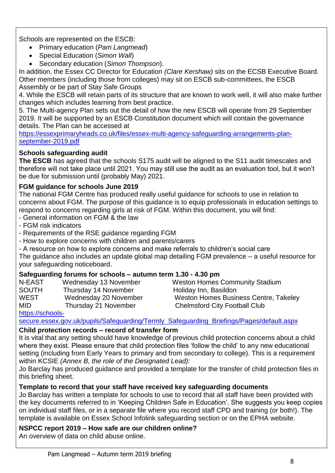Schools are represented on the ESCB:

- Primary education (*Pam Langmead*)
- Special Education (*Simon Wall*)
- Secondary education (*Simon Thompson*).

In addition, the Essex CC Director for Education *(Clare Kershaw)* sits on the ECSB Executive Board. Other members (including those from colleges) may sit on ESCB sub-committees, the ESCB Assembly or be part of Stay Safe Groups

4. While the ESCB will retain parts of its structure that are known to work well, it will also make further changes which includes learning from best practice.

5. The Multi-agency Plan sets out the detail of how the new ESCB will operate from 29 September 2019. It will be supported by an ESCB Constitution document which will contain the governance details. The Plan can be accessed at

[https://essexprimaryheads.co.uk/files/essex-multi-agency-safeguarding-arrangements-plan](https://essexprimaryheads.co.uk/files/essex-multi-agency-safeguarding-arrangements-plan-september-2019.pdf)[september-2019.pdf](https://essexprimaryheads.co.uk/files/essex-multi-agency-safeguarding-arrangements-plan-september-2019.pdf)

## **Schools safeguarding audit**

**The ESCB** has agreed that the schools S175 audit will be aligned to the S11 audit timescales and therefore will not take place until 2021. You may still use the audit as an evaluation tool, but it won't be due for submission until (probably May) 2021.

## **FGM guidance for schools June 2019**

The national FGM Centre has produced really useful guidance for schools to use in relation to concerns about FGM. The purpose of this guidance is to equip professionals in education settings to respond to concerns regarding girls at risk of FGM. Within this document, you will find:

- General information on FGM & the law
- FGM risk indicators
- Requirements of the RSE guidance regarding FGM
- How to explore concerns with children and parents/carers
- A resource on how to explore concerns and make referrals to children's social care

The guidance also includes an update global map detailing FGM prevalence – a useful resource for your safeguarding noticeboard.

## **Safeguarding forums for schools – autumn term 1.30 - 4.30 pm**

- N-EAST Wednesday 13 November Weston Homes Community Stadium
- SOUTH Thursday 14 November Holiday Inn, Basildon
- WEST Wednesday 20 November Weston Homes Business Centre, Takeley

MID Thursday 21 November Chelmsford City Football Club

[https://schools-](https://schools-secure.essex.gov.uk/pupils/Safeguarding/Termly_Safeguarding_Briefings/Pages/default.aspx)

[secure.essex.gov.uk/pupils/Safeguarding/Termly\\_Safeguarding\\_Briefings/Pages/default.aspx](https://schools-secure.essex.gov.uk/pupils/Safeguarding/Termly_Safeguarding_Briefings/Pages/default.aspx)

## **Child protection records – record of transfer form**

It is vital that any setting should have knowledge of previous child protection concerns about a child where they exist. Please ensure that child protection files 'follow the child' to any new educational setting (including from Early Years to primary and from secondary to college). This is a requirement within KCSIE *(Annex B, the role of the Designated Lead):* 

Jo Barclay has produced guidance and provided a template for the transfer of child protection files in this briefing sheet.

## **Template to record that your staff have received key safeguarding documents**

Jo Barclay has written a template for schools to use to record that all staff have been provided with the key documents referred to in 'Keeping Children Safe in Education'. She suggests you keep copies on individual staff files, or in a separate file where you record staff CPD and training (or both!). The template is available on Essex School Infolink safeguarding section or on the EPHA website.

**NSPCC report 2019 – How safe are our children online?**

An overview of data on child abuse online.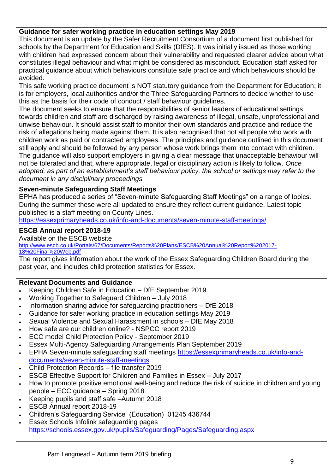## **Guidance for safer working practice in education settings May 2019**

This document is an update by the Safer Recruitment Consortium of a document first published for schools by the Department for Education and Skills (DfES). It was initially issued as those working with children had expressed concern about their vulnerability and requested clearer advice about what constitutes illegal behaviour and what might be considered as misconduct. Education staff asked for practical guidance about which behaviours constitute safe practice and which behaviours should be avoided.

This safe working practice document is NOT statutory guidance from the Department for Education; it is for employers, local authorities and/or the Three Safeguarding Partners to decide whether to use this as the basis for their code of conduct / staff behaviour guidelines.

The document seeks to ensure that the responsibilities of senior leaders of educational settings towards children and staff are discharged by raising awareness of illegal, unsafe, unprofessional and unwise behaviour. It should assist staff to monitor their own standards and practice and reduce the risk of allegations being made against them. It is also recognised that not all people who work with children work as paid or contracted employees. The principles and guidance outlined in this document still apply and should be followed by any person whose work brings them into contact with children. The guidance will also support employers in giving a clear message that unacceptable behaviour will not be tolerated and that, where appropriate, legal or disciplinary action is likely to follow. *Once adopted, as part of an establishment's staff behaviour policy, the school or settings may refer to the document in any disciplinary proceedings.*

## **Seven-minute Safeguarding Staff Meetings**

EPHA has produced a series of "Seven-minute Safeguarding Staff Meetings" on a range of topics. During the summer these were all updated to ensure they reflect current guidance. Latest topic published is a staff meeting on County Lines.

<https://essexprimaryheads.co.uk/info-and-documents/seven-minute-staff-meetings/>

## **ESCB Annual report 2018-19**

Available on the ESCB website

[http://www.escb.co.uk/Portals/67/Documents/Reports%20Plans/ESCB%20Annual%20Report%202017-](http://www.escb.co.uk/Portals/67/Documents/Reports%20Plans/ESCB%20Annual%20Report%202017-18%20Final%20Web.pdf) [18%20Final%20Web.pdf](http://www.escb.co.uk/Portals/67/Documents/Reports%20Plans/ESCB%20Annual%20Report%202017-18%20Final%20Web.pdf)

The report gives information about the work of the Essex Safeguarding Children Board during the past year, and includes child protection statistics for Essex.

## **Relevant Documents and Guidance**

- Keeping Children Safe in Education DfE September 2019
- Working Together to Safeguard Children July 2018
- Information sharing advice for safeguarding practitioners DfE 2018
- Guidance for safer working practice in education settings May 2019
- Sexual Violence and Sexual Harassment in schools DfE May 2018
- How safe are our children online? NSPCC report 2019
- ECC model Child Protection Policy September 2019
- Essex Multi-Agency Safeguarding Arrangements Plan September 2019
- EPHA Seven-minute safeguarding staff meetings [https://essexprimaryheads.co.uk/info-and](https://essexprimaryheads.co.uk/info-and-documents/seven-minute-staff-meetings)[documents/seven-minute-staff-meetings](https://essexprimaryheads.co.uk/info-and-documents/seven-minute-staff-meetings)
- Child Protection Records file transfer 2019
- ESCB Effective Support for Children and Families in Essex July 2017
- How to promote positive emotional well-being and reduce the risk of suicide in children and young people – ECC guidance – Spring 2018
- Keeping pupils and staff safe –Autumn 2018
- ESCB Annual report 2018-19
- Children's Safeguarding Service (Education) 01245 436744
- Essex Schools Infolink safeguarding pages

<https://schools.essex.gov.uk/pupils/Safeguarding/Pages/Safeguarding.aspx>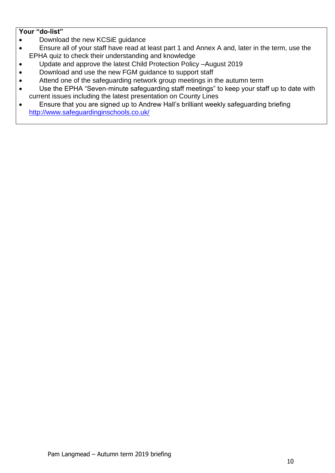- Download the new KCSiE guidance
- Ensure all of your staff have read at least part 1 and Annex A and, later in the term, use the EPHA quiz to check their understanding and knowledge
- Update and approve the latest Child Protection Policy –August 2019
- Download and use the new FGM guidance to support staff
- Attend one of the safeguarding network group meetings in the autumn term
- Use the EPHA "Seven-minute safeguarding staff meetings" to keep your staff up to date with current issues including the latest presentation on County Lines
- Ensure that you are signed up to Andrew Hall's brilliant weekly safeguarding briefing <http://www.safeguardinginschools.co.uk/>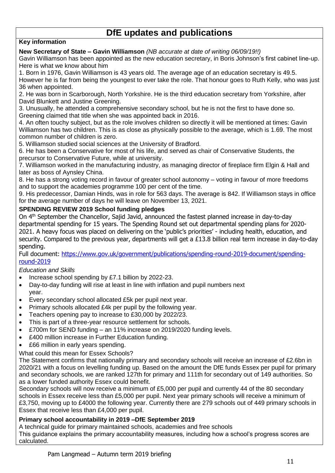## **DfE updates and publications**

## **Key information**

**New Secretary of State – Gavin Williamson** *(NB accurate at date of writing 06/09/19!!)*

Gavin Williamson has been appointed as the new education secretary, in Boris Johnson's first cabinet line-up. Here is what we know about him

1. Born in 1976, Gavin Williamson is 43 years old. The average age of an education secretary is 49.5.

However he is far from being the youngest to ever take the role. That honour goes to Ruth Kelly, who was just 36 when appointed.

2. He was born in Scarborough, North Yorkshire. He is the third education secretary from Yorkshire, after David Blunkett and Justine Greening.

3. Unusually, he attended a comprehensive secondary school, but he is not the first to have done so. Greening claimed that title when she was appointed back in 2016.

4. An often touchy subject, but as the role involves children so directly it will be mentioned at times: Gavin Williamson has two children. This is as close as physically possible to the average, which is 1.69. The most common number of children is zero.

5. Williamson studied social sciences at the University of Bradford.

6. He has been a Conservative for most of his life, and served as chair of Conservative Students, the precursor to Conservative Future, while at university.

7. Williamson worked in the manufacturing industry, as managing director of fireplace firm Elgin & Hall and later as boss of Aynsley China.

8. He has a strong voting record in favour of greater school autonomy – voting in favour of more freedoms and to support the academies programme 100 per cent of the time.

9. His predecessor, Damian Hinds, was in role for 563 days. The average is 842. If Williamson stays in office for the average number of days he will leave on November 13, 2021.

#### **SPENDING REVIEW 2019 School funding pledges**

On 4th September the Chancellor, Sajid Javid, announced the fastest planned increase in day-to-day departmental spending for 15 years. The Spending Round set out departmental spending plans for 2020- 2021. A heavy focus was placed on delivering on the 'public's priorities' - including health, education, and security. Compared to the previous year, departments will get a £13.8 billion real term increase in day-to-day spending.

Full document: [https://www.gov.uk/government/publications/spending-round-2019-document/spending](https://www.gov.uk/government/publications/spending-round-2019-document/spending-round-2019)[round-2019](https://www.gov.uk/government/publications/spending-round-2019-document/spending-round-2019)

#### *Education and Skills*

- Increase school spending by £7.1 billion by 2022-23.
- Day-to-day funding will rise at least in line with inflation and pupil numbers next year.
- Every secondary school allocated £5k per pupil next year.
- Primary schools allocated £4k per pupil by the following year.
- Teachers opening pay to increase to £30,000 by 2022/23.
- This is part of a three-year resource settlement for schools.
- £700m for SEND funding an 11% increase on 2019/2020 funding levels.
- £400 million increase in Further Education funding.
- £66 million in early years spending.
- What could this mean for Essex Schools?

The Statement confirms that nationally primary and secondary schools will receive an increase of £2.6bn in 2020/21 with a focus on levelling funding up. Based on the amount the DfE funds Essex per pupil for primary and secondary schools, we are ranked 127th for primary and 111th for secondary out of 149 authorities. So as a lower funded authority Essex could benefit.

Secondary schools will now receive a minimum of £5,000 per pupil and currently 44 of the 80 secondary schools in Essex receive less than £5,000 per pupil. Next year primary schools will receive a minimum of £3,750, moving up to £4000 the following year. Currently there are 279 schools out of 449 primary schools in Essex that receive less than £4,000 per pupil.

#### **Primary school accountability in 2019 –DfE September 2019**

A technical guide for primary maintained schools, academies and free schools This guidance explains the primary accountability measures, including how a school's progress scores are calculated.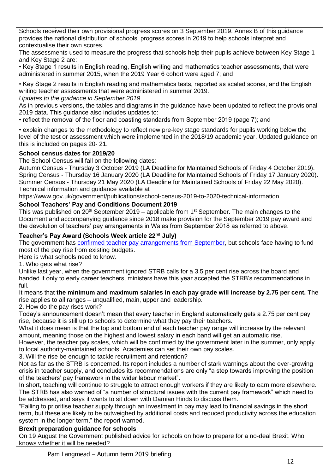Schools received their own provisional progress scores on 3 September 2019. Annex B of this guidance provides the national distribution of schools' progress scores in 2019 to help schools interpret and contextualise their own scores.

The assessments used to measure the progress that schools help their pupils achieve between Key Stage 1 and Key Stage 2 are:

• Key Stage 1 results in English reading, English writing and mathematics teacher assessments, that were administered in summer 2015, when the 2019 Year 6 cohort were aged 7; and

• Key Stage 2 results in English reading and mathematics tests, reported as scaled scores, and the English writing teacher assessments that were administered in summer 2019.

*Updates to the guidance in September 2019* 

As in previous versions, the tables and diagrams in the guidance have been updated to reflect the provisional 2019 data. This guidance also includes updates to:

• reflect the removal of the floor and coasting standards from September 2019 (page 7); and

• explain changes to the methodology to reflect new pre-key stage standards for pupils working below the level of the test or assessment which were implemented in the 2018/19 academic year. Updated guidance on this is included on pages 20- 21.

## **School census dates for 2019/20**

The School Census will fall on the following dates:

Autumn Census - Thursday 3 October 2019 (LA Deadline for Maintained Schools of Friday 4 October 2019). Spring Census - Thursday 16 January 2020 (LA Deadline for Maintained Schools of Friday 17 January 2020). Summer Census - Thursday 21 May 2020 (LA Deadline for Maintained Schools of Friday 22 May 2020). Technical information and guidance available at

https://www.gov.uk/government/publications/school-census-2019-to-2020-technical-information

## **School Teachers' Pay and Conditions Document 2019**

This was published on  $20<sup>th</sup>$  September 2019 – applicable from 1<sup>st</sup> September. The main changes to the Document and accompanying guidance since 2018 make provision for the September 2019 pay award and the devolution of teachers' pay arrangements in Wales from September 2018 as referred to above.

## **Teacher's Pay Award (Schools Week article 22nd July)**

The government has **confirmed teacher pay arrangements from September**, but schools face having to fund most of the pay rise from existing budgets.

Here is what schools need to know.

1. Who gets what rise?

Unlike last year, when the government ignored STRB calls for a 3.5 per cent rise across the board and handed it only to early career teachers, ministers have this year accepted the STRB's recommendations in full.

It means that **the minimum and maximum salaries in each pay grade will increase by 2.75 per cent.** The rise applies to all ranges – unqualified, main, upper and leadership.

2. How do the pay rises work?

Today's announcement doesn't mean that every teacher in England automatically gets a 2.75 per cent pay rise, because it is still up to schools to determine what they pay their teachers.

What it does mean is that the top and bottom end of each teacher pay range will increase by the relevant amount, meaning those on the highest and lowest salary in each band will get an automatic rise.

However, the teacher pay scales, which will be confirmed by the government later in the summer, only apply to local authority-maintained schools. Academies can set their own pay scales.

3. Will the rise be enough to tackle recruitment and retention?

Not as far as the STRB is concerned. Its report includes a number of stark warnings about the ever-growing crisis in teacher supply, and concludes its recommendations are only "a step towards improving the position of the teachers' pay framework in the wider labour market".

In short, teaching will continue to struggle to attract enough workers if they are likely to earn more elsewhere. The STRB has also warned of "a number of structural issues with the current pay framework" which need to be addressed, and says it wants to sit down with Damian Hinds to discuss them.

"Failing to prioritise teacher supply through an investment in pay may lead to financial savings in the short term, but these are likely to be outweighed by additional costs and reduced productivity across the education system in the longer term," the report warned.

## **Brexit preparation guidance for schools**

On 19 August the Government published advice for schools on how to prepare for a no-deal Brexit. Who knows whether it will be needed?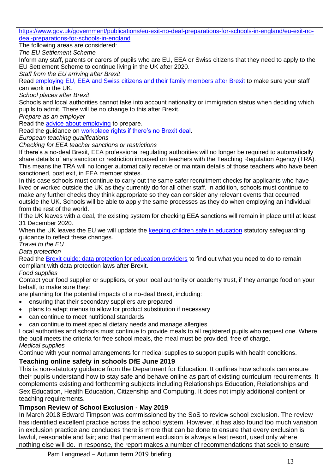[https://www.gov.uk/government/publications/eu-exit-no-deal-preparations-for-schools-in-england/eu-exit-no](https://www.gov.uk/government/publications/eu-exit-no-deal-preparations-for-schools-in-england/eu-exit-no-deal-preparations-for-schools-in-england)[deal-preparations-for-schools-in-england](https://www.gov.uk/government/publications/eu-exit-no-deal-preparations-for-schools-in-england/eu-exit-no-deal-preparations-for-schools-in-england)

The following areas are considered:

*The EU Settlement Scheme*

Inform any staff, parents or carers of pupils who are EU, EEA or Swiss citizens that they need to apply to the EU Settlement Scheme to continue living in the UK after 2020.

*Staff from the EU arriving after Brexit*

Read [employing EU, EEA and Swiss citizens and their family members after Brexit](https://www.gov.uk/guidance/employing-eu-eea-and-swiss-citizens-and-their-family-members-after-brexit) to make sure your staff can work in the UK.

*School places after Brexit*

Schools and local authorities cannot take into account nationality or immigration status when deciding which pupils to admit. There will be no change to this after Brexit.

*Prepare as an employer*

Read the [advice about employing](https://www.gov.uk/guidance/employing-eu-eea-and-swiss-citizens-and-their-family-members-after-brexit#employing-eu-eea-and-swiss-citizens-if-the-uk-leaves-the-eu-without-a-deal) to prepare.

Read the guidance on [workplace rights if there's no Brexit deal.](https://www.gov.uk/guidance/workplace-rights-after-brexit)

*European teaching qualifications*

*Checking for EEA teacher sanctions or restrictions*

If there's a no-deal Brexit, EEA professional regulating authorities will no longer be required to automatically share details of any sanction or restriction imposed on teachers with the Teaching Regulation Agency (TRA). This means the TRA will no longer automatically receive or maintain details of those teachers who have been sanctioned, post exit, in EEA member states.

In this case schools must continue to carry out the same safer recruitment checks for applicants who have lived or worked outside the UK as they currently do for all other staff. In addition, schools must continue to make any further checks they think appropriate so they can consider any relevant events that occurred outside the UK. Schools will be able to apply the same processes as they do when employing an individual from the rest of the world.

If the UK leaves with a deal, the existing system for checking EEA sanctions will remain in place until at least 31 December 2020.

When the UK leaves the EU we will update the [keeping children safe in education](https://www.gov.uk/government/publications/keeping-children-safe-in-education) statutory safeguarding guidance to reflect these changes.

*Travel to the EU*

*Data protection*

Read the [Brexit guide: data protection for education providers](https://www.gov.uk/guidance/eu-exit-guide-data-protection-for-education-providers) to find out what you need to do to remain compliant with data protection laws after Brexit.

## *Food supplies*

Contact your food supplier or suppliers, or your local authority or academy trust, if they arrange food on your behalf, to make sure they:

are planning for the potential impacts of a no-deal Brexit, including:

- ensuring that their secondary suppliers are prepared
- plans to adapt menus to allow for product substitution if necessary
- can continue to meet nutritional standards
- can continue to meet special dietary needs and manage allergies

Local authorities and schools must continue to provide meals to all registered pupils who request one. Where the pupil meets the criteria for free school meals, the meal must be provided, free of charge. *Medical supplies*

Continue with your normal arrangements for medical supplies to support pupils with health conditions.

## **Teaching online safety in schools DfE June 2019**

This is non-statutory guidance from the Department for Education. It outlines how schools can ensure their pupils understand how to stay safe and behave online as part of existing curriculum requirements. It complements existing and forthcoming subjects including Relationships Education, Relationships and Sex Education, Health Education, Citizenship and Computing. It does not imply additional content or teaching requirements.

## **Timpson Review of School Exclusion - May 2019**

In March 2018 Edward Timpson was commissioned by the SoS to review school exclusion. The review has identified excellent practice across the school system. However, it has also found too much variation in exclusion practice and concludes there is more that can be done to ensure that every exclusion is lawful, reasonable and fair; and that permanent exclusion is always a last resort, used only where nothing else will do. In response, the report makes a number of recommendations that seek to ensure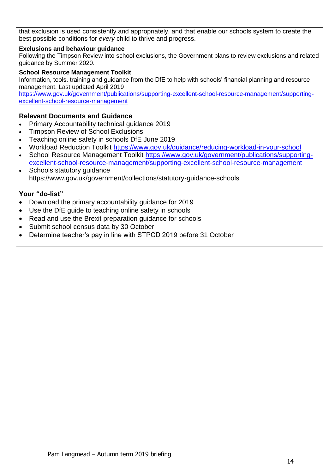that exclusion is used consistently and appropriately, and that enable our schools system to create the best possible conditions for *every* child to thrive and progress.

#### **Exclusions and behaviour guidance**

Following the Timpson Review into school exclusions, the Government plans to review exclusions and related guidance by Summer 2020.

#### **School Resource Management Toolkit**

Information, tools, training and guidance from the DfE to help with schools' financial planning and resource management. Last updated April 2019

[https://www.gov.uk/government/publications/supporting-excellent-school-resource-management/supporting](https://www.gov.uk/government/publications/supporting-excellent-school-resource-management/supporting-excellent-school-resource-management)[excellent-school-resource-management](https://www.gov.uk/government/publications/supporting-excellent-school-resource-management/supporting-excellent-school-resource-management)

#### **Relevant Documents and Guidance**

- Primary Accountability technical guidance 2019
- Timpson Review of School Exclusions
- Teaching online safety in schools DfE June 2019
- Workload Reduction Toolkit<https://www.gov.uk/guidance/reducing-workload-in-your-school>
- School Resource Management Toolkit [https://www.gov.uk/government/publications/supporting](https://www.gov.uk/government/publications/supporting-excellent-school-resource-management/supporting-excellent-school-resource-management)[excellent-school-resource-management/supporting-excellent-school-resource-management](https://www.gov.uk/government/publications/supporting-excellent-school-resource-management/supporting-excellent-school-resource-management)
- Schools statutory guidance https://www.gov.uk/government/collections/statutory-guidance-schools

- Download the primary accountability guidance for 2019
- Use the DfE guide to teaching online safety in schools
- Read and use the Brexit preparation guidance for schools
- Submit school census data by 30 October
- Determine teacher's pay in line with STPCD 2019 before 31 October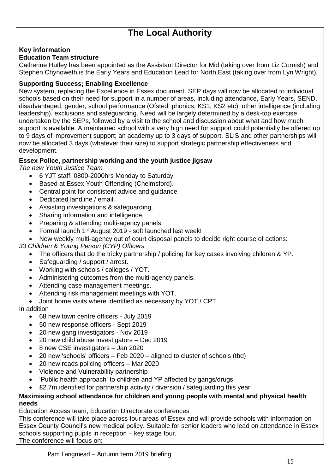## **Key information**

#### **Education Team structure**

Catherine Hutley has been appointed as the Assistant Director for Mid (taking over from Liz Cornish) and Stephen Chynoweth is the Early Years and Education Lead for North East (taking over from Lyn Wright).

#### **Supporting Success; Enabling Excellence**

New system, replacing the Excellence in Essex document. SEP days will now be allocated to individual schools based on their need for support in a number of areas, including attendance, Early Years, SEND, disadvantaged, gender, school performance (Ofsted, phonics, KS1, KS2 etc), other intelligence (including leadership), exclusions and safeguarding. Need will be largely determined by a desk-top exercise undertaken by the SEPs, followed by a visit to the school and discussion about what and how much support is available. A maintained school with a very high need for support could potentially be offered up to 9 days of improvement support; an academy up to 3 days of support. SLIS and other partnerships will now be allocated 3 days (whatever their size) to support strategic partnership effectiveness and development.

## **Essex Police, partnership working and the youth justice jigsaw**

*The new Youth Justice Team*

- 6 YJT staff, 0800-2000hrs Monday to Saturday
- Based at Essex Youth Offending (Chelmsford).
- Central point for consistent advice and guidance
- Dedicated landline / email.
- Assisting investigations & safeguarding.
- Sharing information and intelligence.
- Preparing & attending multi-agency panels.
- Formal launch 1<sup>st</sup> August 2019 soft launched last week!
- New weekly multi-agency out of court disposal panels to decide right course of actions:
- *33 Children & Young Person (CYP) Officers*
	- The officers that do the tricky partnership / policing for key cases involving children & YP.
	- Safeguarding / support / arrest.
	- Working with schools / colleges / YOT.
	- Administering outcomes from the multi-agency panels.
	- Attending case management meetings.
	- Attending risk management meetings with YOT.
	- Joint home visits where identified as necessary by YOT / CPT.

In addition

- 68 new town centre officers July 2019
- 50 new response officers Sept 2019
- 20 new gang investigators Nov 2019
- 20 new child abuse investigators Dec 2019
- 8 new CSE investigators Jan 2020
- 20 new 'schools' officers Feb 2020 aligned to cluster of schools (tbd)
- 20 new roads policing officers Mar 2020
- Violence and Vulnerability partnership
- 'Public health approach' to children and YP affected by gangs/drugs
- £2.7m identified for partnership activity / diversion / safeguarding this year

#### **Maximising school attendance for children and young people with mental and physical health needs**

Education Access team, Education Directorate conferences

This conference will take place across four areas of Essex and will provide schools with information on Essex County Council's new medical policy. Suitable for senior leaders who lead on attendance in Essex schools supporting pupils in reception – key stage four.

The conference will focus on: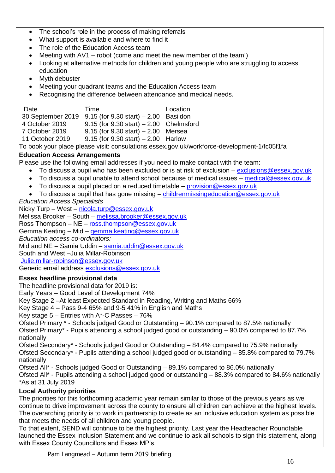- The school's role in the process of making referrals
- What support is available and where to find it
- The role of the Education Access team
- Meeting with AV1 robot (come and meet the new member of the team!)
- Looking at alternative methods for children and young people who are struggling to access education
- Myth debuster
- Meeting your quadrant teams and the Education Access team
- Recognising the difference between attendance and medical needs.

| Date              | Time                                         | Location |
|-------------------|----------------------------------------------|----------|
| 30 September 2019 | $9.15$ (for $9.30$ start) $- 2.00$ Basildon  |          |
| 4 October 2019    | $9.15$ (for $9.30$ start) $-2.00$ Chelmsford |          |
| 7 October 2019    | $9.15$ (for $9.30$ start) $- 2.00$ Mersea    |          |
| 11 October 2019   | $9.15$ (for $9.30$ start) $- 2.00$ Harlow    |          |

To book your place please visit: consulations.essex.gov.uk/workforce-development-1/fc05f1fa

## **Education Access Arrangements**

Please use the following email addresses if you need to make contact with the team:

- To discuss a pupil who has been excluded or is at risk of exclusion [exclusions@essex.gov.uk](mailto:exclusions@essex.gov.uk)
- To discuss a pupil unable to attend school because of medical issues [medical@essex.gov.uk](mailto:medical@essex.gov.uk)
- To discuss a pupil placed on a reduced timetable [provision@essex.gov.uk](mailto:provision@essex.gov.uk)
- To discuss a pupil that has gone missing [childrenmissingeducation@essex.gov.uk](mailto:childrenmissingeducation@essex.gov.uk)

## *Education Access Specialists*

Nicky Turp – West – [nicola.turp@essex.gov.uk](mailto:nicola.turp@essex.gov.uk) Melissa Brooker – South – [melissa.brooker@essex.gov.uk](mailto:melissa.brooker@essex.gov.uk) Ross Thompson – NE – [ross.thompson@essex.gov.uk](mailto:ross.thompson@essex.gov.uk) Gemma Keating – Mid – [gemma.keating@essex.gov.uk](mailto:gemma.keating@essex.gov.uk) *Education access co-ordinators:* Mid and NE – Samia Uddin – [samia.uddin@essex.gov.uk](mailto:samia.uddin@essex.gov.uk) South and West –Julia Millar-Robinson [Julie.millar-robinson@essex.gov.uk](mailto:Julie.millar-robinson@essex.gov.uk) Generic email address [exclusions@essex.gov.uk](mailto:exclusions@essex.gov.uk)

## **Essex headline provisional data**

The headline provisional data for 2019 is:

Early Years – Good Level of Development 74%

Key Stage 2 –At least Expected Standard in Reading, Writing and Maths 66%

Key Stage 4 – Pass 9-4 65% and 9-5 41% in English and Maths

Key stage  $5$  – Entries with  $A^*$ -C Passes – 76%

Ofsted Primary \* - Schools judged Good or Outstanding – 90.1% compared to 87.5% nationally Ofsted Primary\* - Pupils attending a school judged good or outstanding – 90.0% compared to 87.7% nationally

Ofsted Secondary\* - Schools judged Good or Outstanding – 84.4% compared to 75.9% nationally Ofsted Secondary\* - Pupils attending a school judged good or outstanding – 85.8% compared to 79.7% nationally

Ofsted All\* - Schools judged Good or Outstanding – 89.1% compared to 86.0% nationally

Ofsted All\* - Pupils attending a school judged good or outstanding – 88.3% compared to 84.6% nationally \*As at 31 July 2019

## **Local Authority priorities**

The priorities for this forthcoming academic year remain similar to those of the previous years as we continue to drive improvement across the county to ensure all children can achieve at the highest levels. The overarching priority is to work in partnership to create as an inclusive education system as possible that meets the needs of all children and young people.

To that extent, SEND will continue to be the highest priority. Last year the Headteacher Roundtable launched the Essex Inclusion Statement and we continue to ask all schools to sign this statement, along with Essex County Councillors and Essex MP's.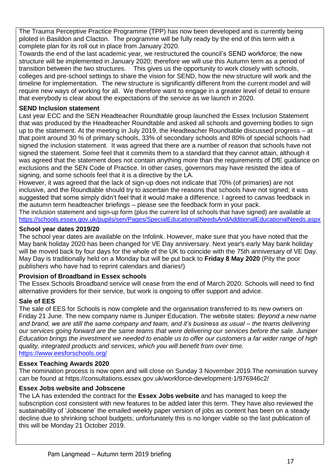The Trauma Perceptive Practice Programme (TPP) has now been developed and is currently being piloted in Basildon and Clacton. The programme will be fully ready by the end of this term with a complete plan for its roll out in place from January 2020.

Towards the end of the last academic year, we restructured the council's SEND workforce; the new structure will be implemented in January 2020; therefore we will use this Autumn term as a period of transition between the two structures. This gives us the opportunity to work closely with schools, colleges and pre-school settings to share the vision for SEND, how the new structure will work and the timeline for implementation. The new structure is significantly different from the current model and will require new ways of working for all. We therefore want to engage in a greater level of detail to ensure that everybody is clear about the expectations of the service as we launch in 2020.

## **SEND Inclusion statement**

Last year ECC and the SEN Headteacher Roundtable group launched the Essex Inclusion Statement that was produced by the Headteacher Roundtable and asked all schools and governing bodies to sign up to the statement. At the meeting in July 2019, the Headteacher Roundtable discussed progress – at that point around 30 % of primary schools, 33% of secondary schools and 80% of special schools had signed the inclusion statement. It was agreed that there are a number of reason that schools have not signed the statement. Some feel that it commits them to a standard that they cannot attain, although it was agreed that the statement does not contain anything more than the requirements of DfE guidance on exclusions and the SEN Code of Practice. In other cases, governors may have resisted the idea of signing, and some schools feel that it is a directive by the LA.

However, it was agreed that the lack of sign-up does not indicate that 70% (of primaries) are not inclusive, and the Roundtable should try to ascertain the reasons that schools have not signed; it was suggested that some simply didn't feel that it would make a difference. I agreed to canvas feedback in the autumn term headteacher briefings – please see the feedback form in your pack.

The inclusion statement and sign-up form (plus the current list of schools that have signed) are available at <https://schools.essex.gov.uk/pupils/sen/Pages/SpecialEducationalNeedsAndAdditionalEducationalNeeds.aspx>

#### **School year dates 2019/20**

The school year dates are available on the Infolink. However, make sure that you have noted that the May bank holiday 2020 has been changed for VE Day anniversary. Next year's early May bank holiday will be moved back by four days for the whole of the UK to coincide with the 75th anniversary of VE Day. May Day is traditionally held on a Monday but will be put back to **Friday 8 May 2020** (Pity the poor publishers who have had to reprint calendars and diaries!)

## **Provision of Broadband in Essex schools**

The Essex Schools Broadband service will cease from the end of March 2020. Schools will need to find alternative providers for their service, but work is ongoing to offer support and advice.

## **Sale of EES**

The sale of EES for Schools is now complete and the organisation transferred to its new owners on Friday 21 June. The new company name is Juniper Education. The website states: *Beyond a new name and brand, we are still the same company and team, and it's business as usual – the teams delivering our services going forward are the same teams that were delivering our services before the sale. Juniper Education brings the investment we needed to enable us to offer our customers a far wider range of high quality, integrated products and services, which you will benefit from over time.* <https://www.eesforschools.org/>

#### **Essex Teaching Awards 2020**

The nomination process is now open and will close on Sunday 3 November 2019.The nomination survey can be found at https://consultations.essex.gov.uk/workforce-development-1/976946c2/

#### **Essex Jobs website and Jobscene**

The LA has extended the contract for the **Essex Jobs website** and has managed to keep the subscription cost consistent with new features to be added later this term. They have also reviewed the sustainability of 'Jobscene' the emailed weekly paper version of jobs as content has been on a steady decline due to shrinking school budgets; unfortunately this is no longer viable so the last publication of this will be Monday 21 October 2019.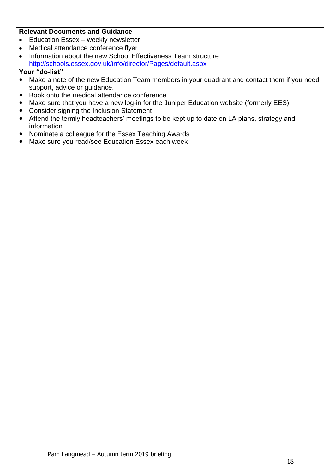### **Relevant Documents and Guidance**

- Education Essex weekly newsletter
- Medical attendance conference flyer
- Information about the new School Effectiveness Team structure <http://schools.essex.gov.uk/info/director/Pages/default.aspx>

- Make a note of the new Education Team members in your quadrant and contact them if you need support, advice or guidance.
- Book onto the medical attendance conference
- Make sure that you have a new log-in for the Juniper Education website (formerly EES)
- Consider signing the Inclusion Statement
- Attend the termly headteachers' meetings to be kept up to date on LA plans, strategy and information
- Nominate a colleague for the Essex Teaching Awards
- Make sure you read/see Education Essex each week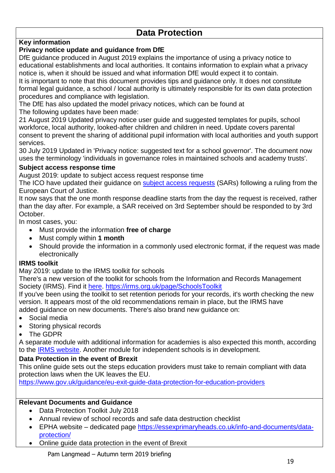## **Data Protection**

## **Key information**

## **Privacy notice update and guidance from DfE**

DfE guidance produced in August 2019 explains the importance of using a privacy notice to educational establishments and local authorities. It contains information to explain what a privacy notice is, when it should be issued and what information DfE would expect it to contain.

It is important to note that this document provides tips and guidance only. It does not constitute formal legal guidance, a school / local authority is ultimately responsible for its own data protection procedures and compliance with legislation.

The DfE has also updated the model privacy notices, which can be found at

The following updates have been made:

21 August 2019 Updated privacy notice user guide and suggested templates for pupils, school workforce, local authority, looked-after children and children in need. Update covers parental consent to prevent the sharing of additional pupil information with local authorities and youth support services.

30 July 2019 Updated in 'Privacy notice: suggested text for a school governor'. The document now uses the terminology 'individuals in governance roles in maintained schools and academy trusts'.

## **Subject access response time**

August 2019: update to subject access request response time

The ICO have updated their guidance on [subject access requests](https://ico.org.uk/for-organisations/guide-to-data-protection/guide-to-the-general-data-protection-regulation-gdpr/individual-rights/right-of-access/) (SARs) following a ruling from the European Court of Justice.

It now says that the one month response deadline starts from the day the request is received, rather than the day after. For example, a SAR received on 3rd September should be responded to by 3rd October.

In most cases, you:

- Must provide the information **free of charge**
- Must comply within **1 month**
- Should provide the information in a commonly used electronic format, if the request was made electronically

## **IRMS toolkit**

May 2019: update to the IRMS toolkit for schools

There's a new version of the toolkit for schools from the Information and Records Management Society (IRMS). Find it [here.](https://irms.org.uk/page/SchoolsToolkit) <https://irms.org.uk/page/SchoolsToolkit>

If you've been using the toolkit to set retention periods for your records, it's worth checking the new version. It appears most of the old recommendations remain in place, but the IRMS have added guidance on new documents. There's also brand new guidance on:

- Social media
- Storing physical records
- The GDPR

A separate module with additional information for academies is also expected this month, according to the [IRMS website.](https://irms.org.uk/page/AcademiesToolkit) Another module for independent schools is in development.

## **Data Protection in the event of Brexit**

This online guide sets out the steps education providers must take to remain compliant with data protection laws when the UK leaves the EU.

<https://www.gov.uk/guidance/eu-exit-guide-data-protection-for-education-providers>

## **Relevant Documents and Guidance**

- Data Protection Toolkit July 2018
- Annual review of school records and safe data destruction checklist
- EPHA website dedicated page [https://essexprimaryheads.co.uk/info-and-documents/data](https://essexprimaryheads.co.uk/info-and-documents/data-protection/)[protection/](https://essexprimaryheads.co.uk/info-and-documents/data-protection/)
- Online guide data protection in the event of Brexit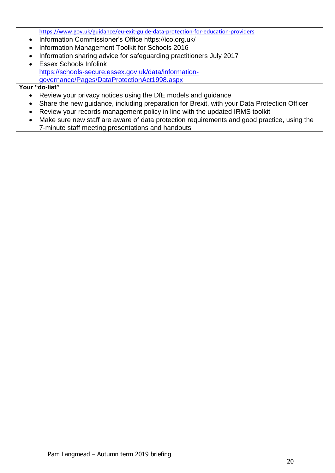<https://www.gov.uk/guidance/eu-exit-guide-data-protection-for-education-providers>

- Information Commissioner's Office https://ico.org.uk/
- Information Management Toolkit for Schools 2016
- Information sharing advice for safeguarding practitioners July 2017
- Essex Schools Infolink [https://schools-secure.essex.gov.uk/data/information](https://schools-secure.essex.gov.uk/data/information-governance/Pages/DataProtectionAct1998.aspx)[governance/Pages/DataProtectionAct1998.aspx](https://schools-secure.essex.gov.uk/data/information-governance/Pages/DataProtectionAct1998.aspx)

- Review your privacy notices using the DfE models and guidance
- Share the new guidance, including preparation for Brexit, with your Data Protection Officer
- Review your records management policy in line with the updated IRMS toolkit
- Make sure new staff are aware of data protection requirements and good practice, using the 7-minute staff meeting presentations and handouts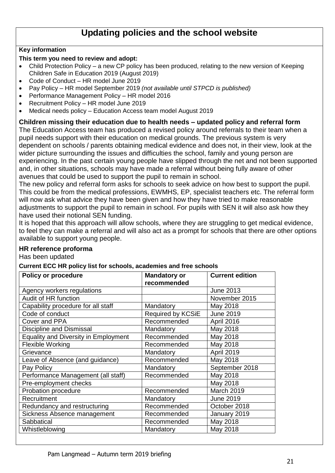## **Updating policies and the school website**

## **Key information**

#### **This term you need to review and adopt:**

- Child Protection Policy a new CP policy has been produced, relating to the new version of Keeping Children Safe in Education 2019 (August 2019)
- Code of Conduct HR model June 2019
- Pay Policy HR model September 2019 *(not available until STPCD is published)*
- Performance Management Policy HR model 2016
- Recruitment Policy HR model June 2019
- Medical needs policy Education Access team model August 2019

## **Children missing their education due to health needs – updated policy and referral form**

The Education Access team has produced a revised policy around referrals to their team when a pupil needs support with their education on medical grounds. The previous system is very dependent on schools / parents obtaining medical evidence and does not, in their view, look at the wider picture surrounding the issues and difficulties the school, family and young person are experiencing. In the past certain young people have slipped through the net and not been supported and, in other situations, schools may have made a referral without being fully aware of other avenues that could be used to support the pupil to remain in school.

The new policy and referral form asks for schools to seek advice on how best to support the pupil. This could be from the medical professions, EWMHS, EP, specialist teachers etc. The referral form will now ask what advice they have been given and how they have tried to make reasonable adjustments to support the pupil to remain in school. For pupils with SEN it will also ask how they have used their notional SEN funding.

It is hoped that this approach will allow schools, where they are struggling to get medical evidence, to feel they can make a referral and will also act as a prompt for schools that there are other options available to support young people.

## **HR reference proforma**

Has been updated

#### **Current ECC HR policy list for schools, academies and free schools**

| <b>Policy or procedure</b>                  | <b>Mandatory or</b> | <b>Current edition</b> |
|---------------------------------------------|---------------------|------------------------|
|                                             | recommended         |                        |
| Agency workers regulations                  |                     | <b>June 2013</b>       |
| Audit of HR function                        |                     | November 2015          |
| Capability procedure for all staff          | Mandatory           | May 2018               |
| Code of conduct                             | Required by KCSiE   | <b>June 2019</b>       |
| Cover and PPA                               | Recommended         | April 2016             |
| <b>Discipline and Dismissal</b>             | Mandatory           | May 2018               |
| <b>Equality and Diversity in Employment</b> | Recommended         | May 2018               |
| <b>Flexible Working</b>                     | Recommended         | May 2018               |
| Grievance                                   | Mandatory           | April 2019             |
| Leave of Absence (and guidance)             | Recommended         | May 2018               |
| Pay Policy                                  | Mandatory           | September 2018         |
| Performance Management (all staff)          | Recommended         | May 2018               |
| Pre-employment checks                       |                     | May 2018               |
| Probation procedure                         | Recommended         | <b>March 2019</b>      |
| Recruitment                                 | Mandatory           | <b>June 2019</b>       |
| Redundancy and restructuring                | Recommended         | October 2018           |
| Sickness Absence management                 | Recommended         | January 2019           |
| Sabbatical                                  | Recommended         | May 2018               |
| Whistleblowing                              | Mandatory           | May 2018               |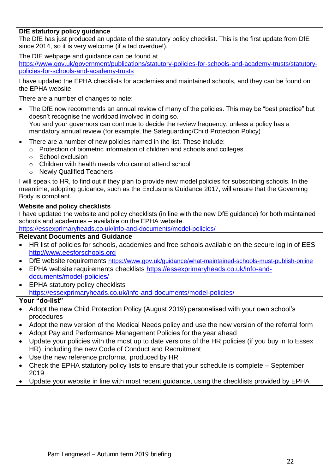#### **DfE statutory policy guidance**

The DfE has just produced an update of the statutory policy checklist. This is the first update from DfE since 2014, so it is very welcome (if a tad overdue!).

The DfE webpage and guidance can be found at

[https://www.gov.uk/government/publications/statutory-policies-for-schools-and-academy-trusts/statutory](https://www.gov.uk/government/publications/statutory-policies-for-schools-and-academy-trusts/statutory-policies-for-schools-and-academy-trusts)[policies-for-schools-and-academy-trusts](https://www.gov.uk/government/publications/statutory-policies-for-schools-and-academy-trusts/statutory-policies-for-schools-and-academy-trusts)

I have updated the EPHA checklists for academies and maintained schools, and they can be found on the EPHA website

There are a number of changes to note:

- The DfE now recommends an annual review of many of the policies. This may be "best practice" but doesn't recognise the workload involved in doing so. You and your governors can continue to decide the review frequency, unless a policy has a mandatory annual review (for example, the Safeguarding/Child Protection Policy)
- There are a number of new policies named in the list. These include:
	- o Protection of biometric information of children and schools and colleges
	- o School exclusion
	- o Children with health needs who cannot attend school
	- o Newly Qualified Teachers

I will speak to HR, to find out if they plan to provide new model policies for subscribing schools. In the meantime, adopting guidance, such as the Exclusions Guidance 2017, will ensure that the Governing Body is compliant.

#### **Website and policy checklists**

I have updated the website and policy checklists (in line with the new DfE guidance) for both maintained schools and academies – available on the EPHA website.

<https://essexprimaryheads.co.uk/info-and-documents/model-policies/>

#### **Relevant Documents and Guidance**

- HR list of policies for schools, academies and free schools available on the secure log in of EES [http://www.eesforschools.org](http://www.eesforschools.org/)
- DfE website requirements <https://www.gov.uk/guidance/what-maintained-schools-must-publish-online>
- EPHA website requirements checklists [https://essexprimaryheads.co.uk/info-and](https://essexprimaryheads.co.uk/info-and-documents/model-policies/)[documents/model-policies/](https://essexprimaryheads.co.uk/info-and-documents/model-policies/)
- EPHA statutory policy checklists <https://essexprimaryheads.co.uk/info-and-documents/model-policies/>

- Adopt the new Child Protection Policy (August 2019) personalised with your own school's procedures
- Adopt the new version of the Medical Needs policy and use the new version of the referral form
- Adopt Pay and Performance Management Policies for the year ahead
- Update your policies with the most up to date versions of the HR policies (if you buy in to Essex HR), including the new Code of Conduct and Recruitment
- Use the new reference proforma, produced by HR
- Check the EPHA statutory policy lists to ensure that your schedule is complete September 2019
- Update your website in line with most recent guidance, using the checklists provided by EPHA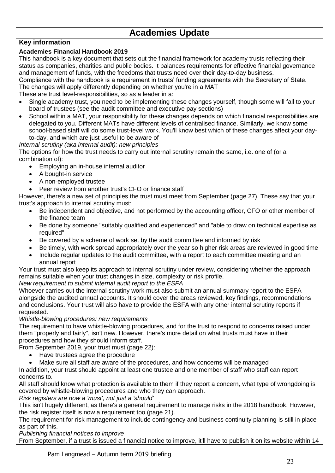## **Academies Update**

## **Key information**

## **Academies Financial Handbook 2019**

This handbook is a key document that sets out the financial framework for academy trusts reflecting their status as companies, charities and public bodies. It balances requirements for effective financial governance and management of funds, with the freedoms that trusts need over their day-to-day business.

Compliance with the handbook is a requirement in trusts' funding agreements with the Secretary of State. The changes will apply differently depending on whether you're in a MAT

These are trust level-responsibilities, so as a leader in a:

- Single academy trust, you need to be implementing these changes yourself, though some will fall to your board of trustees (see the audit committee and executive pay sections)
- School within a MAT, your responsibility for these changes depends on which financial responsibilities are delegated to you. Different MATs have different levels of centralised finance. Similarly, we know some school-based staff will do some trust-level work. You'll know best which of these changes affect your dayto-day, and which are just useful to be aware of

#### *Internal scrutiny (aka internal audit): new principles*

The options for how the trust needs to carry out internal scrutiny remain the same, i.e. one of (or a combination of):

- Employing an in-house internal auditor
- A bought-in service
- A non-employed trustee
- Peer review from another trust's CFO or finance staff

However, there's a new set of principles the trust must meet from September (page 27). These say that your trust's approach to internal scrutiny must:

- Be independent and objective, and not performed by the accounting officer, CFO or other member of the finance team
- Be done by someone "suitably qualified and experienced" and "able to draw on technical expertise as required"
- Be covered by a scheme of work set by the audit committee and informed by risk
- Be timely, with work spread appropriately over the year so higher risk areas are reviewed in good time
- Include regular updates to the audit committee, with a report to each committee meeting and an annual report

Your trust must also keep its approach to internal scrutiny under review, considering whether the approach remains suitable when your trust changes in size, complexity or risk profile.

*New requirement to submit internal audit report to the ESFA*

Whoever carries out the internal scrutiny work must also submit an annual summary report to the ESFA alongside the audited annual accounts. It should cover the areas reviewed, key findings, recommendations and conclusions. Your trust will also have to provide the ESFA with any other internal scrutiny reports if requested.

#### *Whistle-blowing procedures: new requirements*

The requirement to have whistle-blowing procedures, and for the trust to respond to concerns raised under them "properly and fairly", isn't new. However, there's more detail on what trusts must have in their procedures and how they should inform staff.

From September 2019, your trust must (page 22):

- Have trustees agree the procedure
- Make sure all staff are aware of the procedures, and how concerns will be managed

In addition, your trust should appoint at least one trustee and one member of staff who staff can report concerns to.

All staff should know what protection is available to them if they report a concern, what type of wrongdoing is covered by whistle-blowing procedures and who they can approach.

*Risk registers are now a 'must', not just a 'should'*

This isn't hugely different, as there's a general requirement to manage risks in the 2018 handbook. However, the risk register itself is now a requirement too (page 21).

The requirement for risk management to include contingency and business continuity planning is still in place as part of this.

*Publishing financial notices to improve*

From September, if a trust is issued a financial notice to improve, it'll have to publish it on its website within 14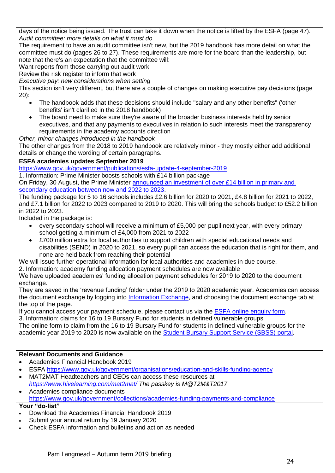days of the notice being issued. The trust can take it down when the notice is lifted by the ESFA (page 47). *Audit committee: more details on what it must do*

The requirement to have an audit committee isn't new, but the 2019 handbook has more detail on what the committee must do (pages 26 to 27). These requirements are more for the board than the leadership, but note that there's an expectation that the committee will:

Want reports from those carrying out audit work

Review the risk register to inform that work

*Executive pay: new considerations when setting*

This section isn't very different, but there are a couple of changes on making executive pay decisions (page 20):

- The handbook adds that these decisions should include "salary and any other benefits" ('other benefits' isn't clarified in the 2018 handbook)
- The board need to make sure they're aware of the broader business interests held by senior executives, and that any payments to executives in relation to such interests meet the transparency requirements in the academy accounts direction
- *Other, minor changes introduced in the handbook*

The other changes from the 2018 to 2019 handbook are relatively minor - they mostly either add additional details or change the wording of certain paragraphs.

#### **ESFA academies updates September 2019**

<https://www.gov.uk/government/publications/esfa-update-4-september-2019>

1. Information: Prime Minister boosts schools with £14 billion package

On Friday, 30 August, the Prime Minister [announced an investment of over £14 billion in primary and](https://www.gov.uk/government/news/prime-minister-boosts-schools-with-14-billion-package)  [secondary education between now and 2022 to 2023.](https://www.gov.uk/government/news/prime-minister-boosts-schools-with-14-billion-package)

The funding package for 5 to 16 schools includes £2.6 billion for 2020 to 2021, £4.8 billion for 2021 to 2022, and £7.1 billion for 2022 to 2023 compared to 2019 to 2020. This will bring the schools budget to £52.2 billion in 2022 to 2023.

Included in the package is:

- every secondary school will receive a minimum of £5,000 per pupil next year, with every primary school getting a minimum of £4,000 from 2021 to 2022
- £700 million extra for local authorities to support children with special educational needs and disabilities (SEND) in 2020 to 2021, so every pupil can access the education that is right for them, and none are held back from reaching their potential

We will issue further operational information for local authorities and academies in due course.

2. Information: academy funding allocation payment schedules are now available

We have uploaded academies' funding allocation payment schedules for 2019 to 2020 to the document exchange.

They are saved in the 'revenue funding' folder under the 2019 to 2020 academic year. Academies can access the document exchange by logging into **Information Exchange**, and choosing the document exchange tab at the top of the page.

If you cannot access your payment schedule, please contact us via the [ESFA online enquiry form.](https://form.education.gov.uk/en/AchieveForms/?form_uri=sandbox-publish://AF-Process-f9f4f5a1-936f-448b-bbeb-9dcdd595f468/AF-Stage-8aa41278-3cdd-45a3-ad87-80cbffb8b992/definition.json&redirectlink=%2Fen&cancelRedirectLink=%2Fen&consentMessage=yes)

3. Information: claims for 16 to 19 Bursary Fund for students in defined vulnerable groups

The online form to claim from the 16 to 19 Bursary Fund for students in defined vulnerable groups for the academic year 2019 to 2020 is now available on the [Student Bursary Support Service \(SBSS\) portal.](https://studentbursary.education.gov.uk/w/webpage/1619bursary)

#### **Relevant Documents and Guidance**

- Academies Financial Handbook 2019
- ESFA<https://www.gov.uk/government/organisations/education-and-skills-funding-agency>
- MAT2MAT Headteachers and CEOs can access these resources at *<https://www.hivelearning.com/mat2mat/> The passkey is M@T2M&T2017*
- Academies compliance documents <https://www.gov.uk/government/collections/academies-funding-payments-and-compliance>

- Download the Academies Financial Handbook 2019
- Submit your annual return by 19 January 2020
- Check ESFA information and bulletins and action as needed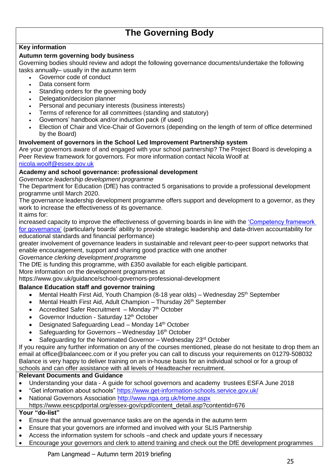## **The Governing Body**

### **Key information**

#### **Autumn term governing body business**

Governing bodies should review and adopt the following governance documents/undertake the following tasks annually– usually in the autumn term

- Governor code of conduct
	- Data consent form
	- Standing orders for the governing body
	- Delegation/decision planner
	- Personal and pecuniary interests (business interests)
	- Terms of reference for all committees (standing and statutory)
	- Governors' handbook and/or induction pack (if used)
	- Election of Chair and Vice-Chair of Governors (depending on the length of term of office determined by the Board)

#### **Involvement of governors in the School Led Improvement Partnership system**

Are your governors aware of and engaged with your school partnership? The Project Board is developing a Peer Review framework for governors. For more information contact Nicola Woolf at

[nicola.woolf@essex.gov.uk](mailto:nicola.woolf@essex.gov.uk)

#### **Academy and school governance: professional development**

*Governance leadership development programme*

The Department for Education (DfE) has contracted 5 organisations to provide a professional development programme until March 2020.

The governance leadership development programme offers support and development to a governor, as they work to increase the effectiveness of its governance.

It aims for:

increased capacity to improve the effectiveness of governing boards in line with the ['Competency framework](https://www.gov.uk/government/publications/governance-handbook)  [for governance'](https://www.gov.uk/government/publications/governance-handbook) (particularly boards' ability to provide strategic leadership and data-driven accountability for educational standards and financial performance)

greater involvement of governance leaders in sustainable and relevant peer-to-peer support networks that enable encouragement, support and sharing good practice with one another

*Governance clerking development programme*

The DfE is funding this programme, with £350 available for each eligible participant.

More information on the development programmes at

https://www.gov.uk/guidance/school-governors-professional-development

#### **Balance Education staff and governor training**

- Mental Health First Aid, Youth Champion (8-18 year olds) Wednesday 25<sup>th</sup> September
- Mental Health First Aid, Adult Champion Thursday 26<sup>th</sup> September
- Accredited Safer Recruitment  $-$  Monday  $7<sup>th</sup>$  October
- Governor Induction Saturday 12th October
- Designated Safeguarding Lead Monday 14<sup>th</sup> October
- Safeguarding for Governors  $-$  Wednesday 16<sup>th</sup> October
- Safeguarding for the Nominated Governor Wednesday 23<sup>rd</sup> October

If you require any further information on any of the courses mentioned, please do not hesitate to drop them an email at office@balanceec.com or if you prefer you can call to discuss your requirements on 01279-508032 Balance is very happy to deliver training on an in-house basis for an individual school or for a group of schools and can offer assistance with all levels of Headteacher recruitment.

#### **Relevant Documents and Guidance**

- Understanding your data A guide for school governors and academy trustees ESFA June 2018
- "Get information about schools"<https://www.get-information-schools.service.gov.uk/>
- National Governors Association<http://www.nga.org.uk/Home.aspx>

https://www.eescpdportal.org/essex-gov/cpd/content\_detail.asp?contentid=676

- Ensure that the annual governance tasks are on the agenda in the autumn term
- Ensure that your governors are informed and involved with your SLIS Partnership
- Access the information system for schools –and check and update yours if necessary
- Encourage your governors and clerk to attend training and check out the DfE development programmes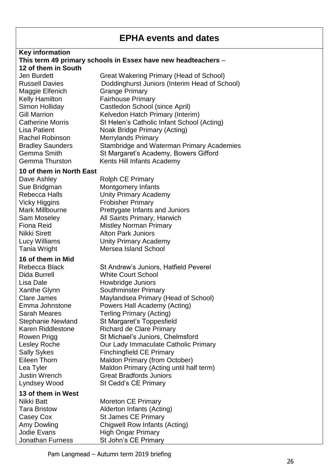## **EPHA events and dates**

#### **Key information**

#### **This term 49 primary schools in Essex have new headteachers** – **12 of them in South**

Jen Burdett Great Wakering Primary (Head of School) Russell Davies Doddinghurst Juniors (Interim Head of School) Maggie Elfenich Grange Primary Kelly Hamilton Fairhouse Primary Simon Holliday Castledon School (since April) Gill Marrion **Kelvedon Hatch Primary (Interim)** Catherine Morris St Helen's Catholic Infant School (Acting) Lisa Patient **Noak Bridge Primary (Acting)** Rachel Robinson Merrylands Primary Bradley Saunders Stambridge and Waterman Primary Academies Gemma Smith St Margaret's Academy, Bowers Gifford Gemma Thurston Kents Hill Infants Academy

## **10 of them in North East**

Dave Ashley Rolph CE Primary Sue Bridgman Montgomery Infants Rebecca Halls **Unity Primary Academy** Vicky Higgins Frobisher Primary Mark Millbourne Prettygate Infants and Juniors Sam Moseley All Saints Primary, Harwich Fiona Reid Mistley Norman Primary Nikki Sirett **Alton Park Juniors** Lucy Williams Unity Primary Academy Tania Wright **Mersea Island School** 

#### **16 of them in Mid**

Lisa Dale **Howbridge Juniors** 

## **13 of them in West**

Rebecca Black St Andrew's Juniors, Hatfield Peverel Dida Burrell White Court School Xanthe Glynn Southminster Primary Clare James Maylandsea Primary (Head of School) Emma Johnstone Powers Hall Academy (Acting) Sarah Meares Terling Primary (Acting) Stephanie Newland St Margaret's Toppesfield Karen Riddlestone Richard de Clare Primary Rowen Prigg St Michael's Juniors, Chelmsford Lesley Roche Our Lady Immaculate Catholic Primary Sally Sykes Finchingfield CE Primary Eileen Thorn Maldon Primary (from October) Lea Tyler Maldon Primary (Acting until half term) Justin Wrench Great Bradfords Juniors Lyndsey Wood St Cedd's CE Primary

Nikki Batt Moreton CE Primary Tara Bristow Alderton Infants (Acting) Casey Cox St James CE Primary Amy Dowling Chigwell Row Infants (Acting) Jodie Evans High Ongar Primary Jonathan Furness St John's CE Primary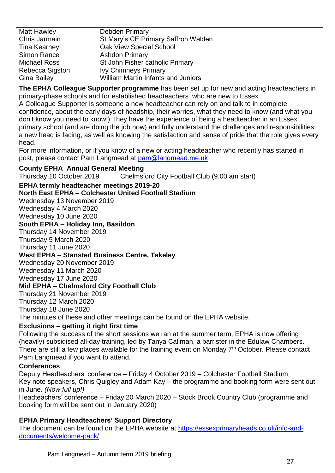Matt Hawley **Debden Primary** Chris Jarmain St Mary's CE Primary Saffron Walden Tina Kearney Oak View Special School Simon Rance Ashdon Primary Michael Ross St John Fisher catholic Primary Rebecca Sigston Ivy Chimneys Primary Gina Bailey William Martin Infants and Juniors

**The EPHA Colleague Supporter programme** has been set up for new and acting headteachers in primary-phase schools and for established headteachers who are new to Essex A Colleague Supporter is someone a new headteacher can rely on and talk to in complete confidence, about the early days of headship, their worries, what they need to know (and what you don't know you need to know!) They have the experience of being a headteacher in an Essex primary school (and are doing the job now) and fully understand the challenges and responsibilities a new head is facing, as well as knowing the satisfaction and sense of pride that the role gives every head.

For more information, or if you know of a new or acting headteacher who recently has started in post, please contact Pam Langmead at [pam@langmead.me.uk](mailto:pam@langmead.me.uk)

**County EPHA Annual General Meeting** 

Thursday 10 October 2019 Chelmsford City Football Club (9.00 am start)

## **EPHA termly headteacher meetings 2019-20**

**North East EPHA – Colchester United Football Stadium** 

Wednesday 13 November 2019 Wednesday 4 March 2020

Wednesday 10 June 2020

## **South EPHA – Holiday Inn, Basildon**

Thursday 14 November 2019

Thursday 5 March 2020

Thursday 11 June 2020

## **West EPHA – Stansted Business Centre, Takeley**

Wednesday 20 November 2019 Wednesday 11 March 2020 Wednesday 17 June 2020

## **Mid EPHA – Chelmsford City Football Club**

Thursday 21 November 2019 Thursday 12 March 2020 Thursday 18 June 2020 The minutes of these and other meetings can be found on the EPHA website.

## **Exclusions – getting it right first time**

Following the success of the short sessions we ran at the summer term, EPHA is now offering (heavily) subsidised all-day training, led by Tanya Callman, a barrister in the Edulaw Chambers. There are still a few places available for the training event on Monday 7<sup>th</sup> October. Please contact Pam Langmead if you want to attend.

## **Conferences**

Deputy Headteachers' conference – Friday 4 October 2019 – Colchester Football Stadium Key note speakers, Chris Quigley and Adam Kay – the programme and booking form were sent out in June. *(Now full up!)*

Headteachers' conference – Friday 20 March 2020 – Stock Brook Country Club (programme and booking form will be sent out in January 2020)

## **EPHA Primary Headteachers' Support Directory**

The document can be found on the EPHA website at [https://essexprimaryheads.co.uk/info-and](https://essexprimaryheads.co.uk/info-and-documents/welcome-pack/)[documents/welcome-pack/](https://essexprimaryheads.co.uk/info-and-documents/welcome-pack/)